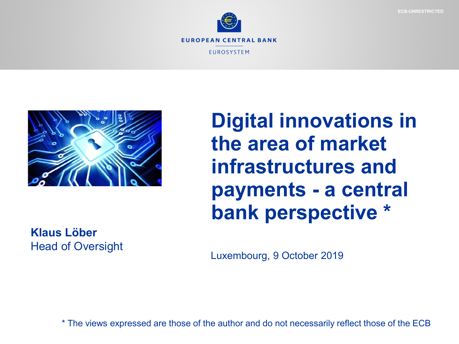



**Digital innovations in the area of market infrastructures and payments - a central bank perspective \***

**Klaus Löber**  Head of Oversight

Luxembourg, 9 October 2019

\* The views expressed are those of the author and do not necessarily reflect those of the ECB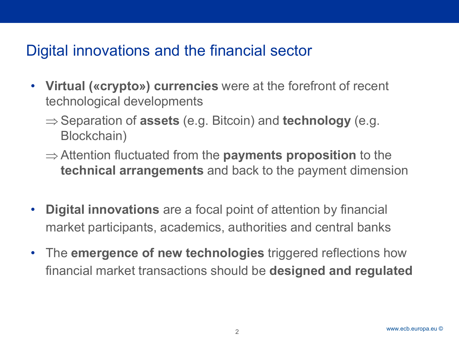### Digital innovations and the financial sector

- **Virtual («crypto») currencies** were at the forefront of recent technological developments
	- ⇒ Separation of **assets** (e.g. Bitcoin) and **technology** (e.g. Blockchain)
	- ⇒ Attention fluctuated from the **payments proposition** to the **technical arrangements** and back to the payment dimension
- **Digital innovations** are a focal point of attention by financial market participants, academics, authorities and central banks
- The **emergence of new technologies** triggered reflections how financial market transactions should be **designed and regulated**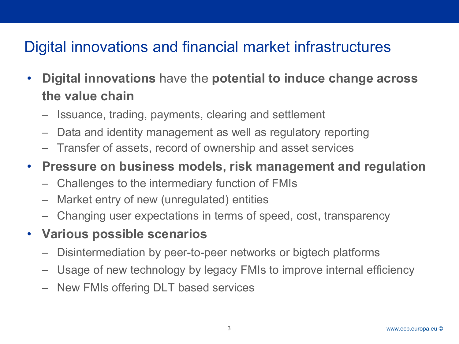# Digital innovations and financial market infrastructures

- **Digital innovations** have the **potential to induce change across the value chain** 
	- Issuance, trading, payments, clearing and settlement
	- Data and identity management as well as regulatory reporting
	- Transfer of assets, record of ownership and asset services

#### • **Pressure on business models, risk management and regulation**

- Challenges to the intermediary function of FMIs
- Market entry of new (unregulated) entities
- Changing user expectations in terms of speed, cost, transparency

#### • **Various possible scenarios**

- Disintermediation by peer-to-peer networks or bigtech platforms
- Usage of new technology by legacy FMIs to improve internal efficiency
- New FMIs offering DLT based services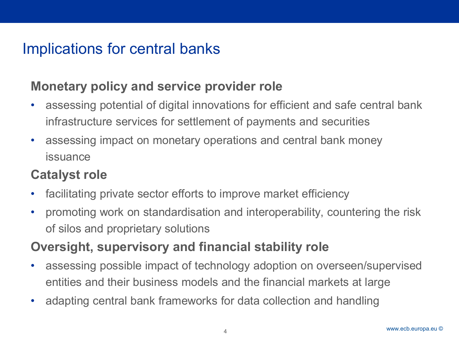# Implications for central banks

### **Monetary policy and service provider role**

- assessing potential of digital innovations for efficient and safe central bank infrastructure services for settlement of payments and securities
- assessing impact on monetary operations and central bank money issuance

### **Catalyst role**

- facilitating private sector efforts to improve market efficiency
- promoting work on standardisation and interoperability, countering the risk of silos and proprietary solutions

### **Oversight, supervisory and financial stability role**

- assessing possible impact of technology adoption on overseen/supervised entities and their business models and the financial markets at large
- adapting central bank frameworks for data collection and handling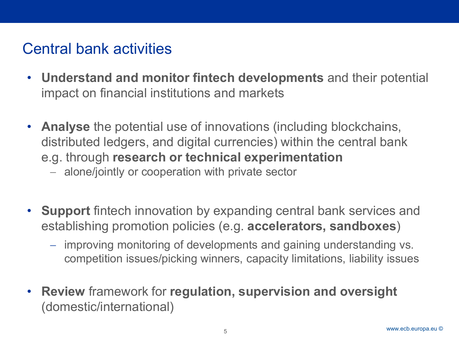# Central bank activities

- **Understand and monitor fintech developments** and their potential impact on financial institutions and markets
- **Analyse** the potential use of innovations (including blockchains, distributed ledgers, and digital currencies) within the central bank e.g. through **research or technical experimentation**
	- − alone/jointly or cooperation with private sector
- **Support** fintech innovation by expanding central bank services and establishing promotion policies (e.g. **accelerators, sandboxes**)
	- − improving monitoring of developments and gaining understanding vs. competition issues/picking winners, capacity limitations, liability issues
- **Review** framework for **regulation, supervision and oversight** (domestic/international)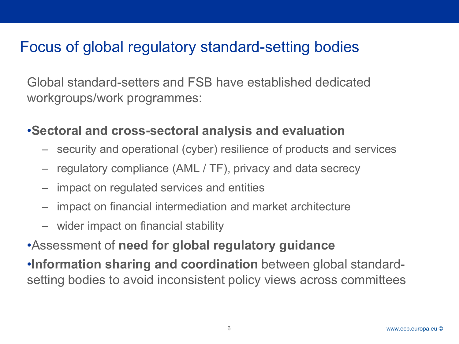### Focus of global regulatory standard-setting bodies

Global standard-setters and FSB have established dedicated workgroups/work programmes:

#### •**Sectoral and cross-sectoral analysis and evaluation**

- security and operational (cyber) resilience of products and services
- regulatory compliance (AML / TF), privacy and data secrecy
- impact on regulated services and entities
- impact on financial intermediation and market architecture
- wider impact on financial stability

### •Assessment of **need for global regulatory guidance**

•**Information sharing and coordination** between global standardsetting bodies to avoid inconsistent policy views across committees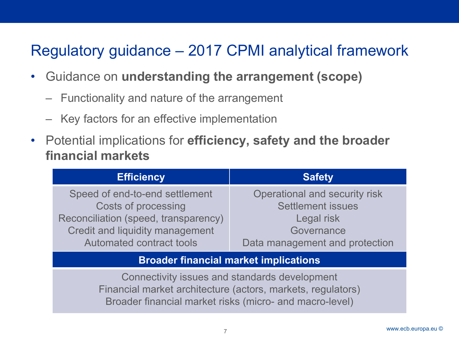# Regulatory guidance – 2017 CPMI analytical framework

- Guidance on **understanding the arrangement (scope)**
	- Functionality and nature of the arrangement
	- Key factors for an effective implementation
- Potential implications for **efficiency, safety and the broader financial markets**

| <b>Efficiency</b>                    | <b>Safety</b>                  |
|--------------------------------------|--------------------------------|
| Speed of end-to-end settlement       | Operational and security risk  |
| Costs of processing                  | <b>Settlement issues</b>       |
| Reconciliation (speed, transparency) | Legal risk                     |
| Credit and liquidity management      | Governance                     |
| <b>Automated contract tools</b>      | Data management and protection |
|                                      |                                |

#### **Broader financial market implications**

Connectivity issues and standards development Financial market architecture (actors, markets, regulators) Broader financial market risks (micro- and macro-level)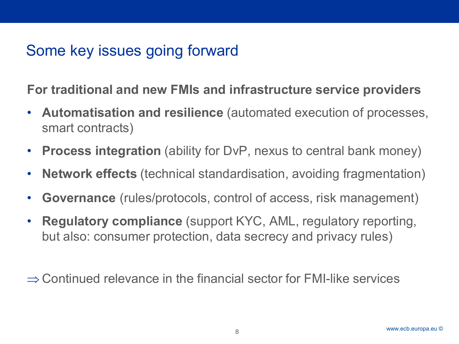# Some key issues going forward

**For traditional and new FMIs and infrastructure service providers**

- **Automatisation and resilience** (automated execution of processes, smart contracts)
- **Process integration** (ability for DvP, nexus to central bank money)
- **Network effects** (technical standardisation, avoiding fragmentation)
- **Governance** (rules/protocols, control of access, risk management)
- **Regulatory compliance** (support KYC, AML, regulatory reporting, but also: consumer protection, data secrecy and privacy rules)

 $\Rightarrow$  Continued relevance in the financial sector for FMI-like services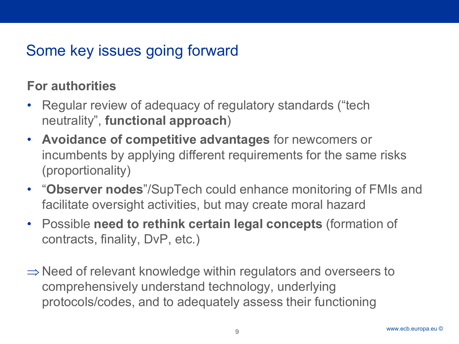# Some key issues going forward

### **For authorities**

- Regular review of adequacy of regulatory standards ("tech neutrality", **functional approach**)
- **Avoidance of competitive advantages** for newcomers or incumbents by applying different requirements for the same risks (proportionality)
- "**Observer nodes**"/SupTech could enhance monitoring of FMIs and facilitate oversight activities, but may create moral hazard
- Possible **need to rethink certain legal concepts** (formation of contracts, finality, DvP, etc.)
- ⇒ Need of relevant knowledge within regulators and overseers to comprehensively understand technology, underlying protocols/codes, and to adequately assess their functioning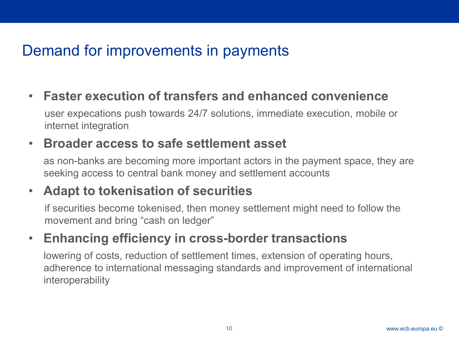# Demand for improvements in payments

• **Faster execution of transfers and enhanced convenience** user expecations push towards 24/7 solutions, immediate execution, mobile or internet integration

#### • **Broader access to safe settlement asset**

as non-banks are becoming more important actors in the payment space, they are seeking access to central bank money and settlement accounts

### • **Adapt to tokenisation of securities**

if securities become tokenised, then money settlement might need to follow the movement and bring "cash on ledger"

### • **Enhancing efficiency in cross-border transactions**

lowering of costs, reduction of settlement times, extension of operating hours, adherence to international messaging standards and improvement of international interoperability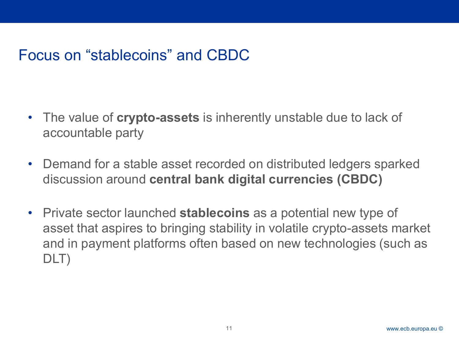# Focus on "stablecoins" and CBDC

- The value of **crypto-assets** is inherently unstable due to lack of accountable party
- Demand for a stable asset recorded on distributed ledgers sparked discussion around **central bank digital currencies (CBDC)**
- Private sector launched **stablecoins** as a potential new type of asset that aspires to bringing stability in volatile crypto-assets market and in payment platforms often based on new technologies (such as DLT)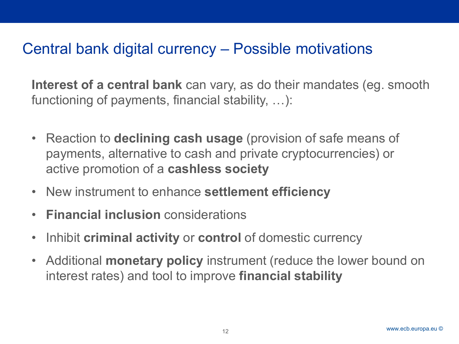### Central bank digital currency – Possible motivations

**Interest of a central bank** can vary, as do their mandates (eg. smooth functioning of payments, financial stability, …):

- Reaction to **declining cash usage** (provision of safe means of payments, alternative to cash and private cryptocurrencies) or active promotion of a **cashless society**
- New instrument to enhance **settlement efficiency**
- **Financial inclusion** considerations
- Inhibit **criminal activity** or **control** of domestic currency
- Additional **monetary policy** instrument (reduce the lower bound on interest rates) and tool to improve **financial stability**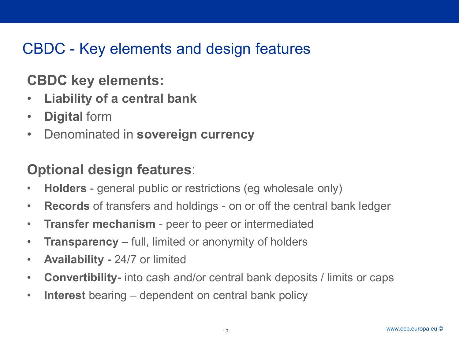# CBDC - Key elements and design features

### **CBDC key elements:**

- **Liability of a central bank**
- **Digital** form
- Denominated in **sovereign currency**

### **Optional design features**:

- **Holders** general public or restrictions (eg wholesale only)
- **Records** of transfers and holdings on or off the central bank ledger
- **Transfer mechanism** peer to peer or intermediated
- **Transparency** full, limited or anonymity of holders
- **Availability -** 24/7 or limited
- **Convertibility-** into cash and/or central bank deposits / limits or caps
- **Interest** bearing dependent on central bank policy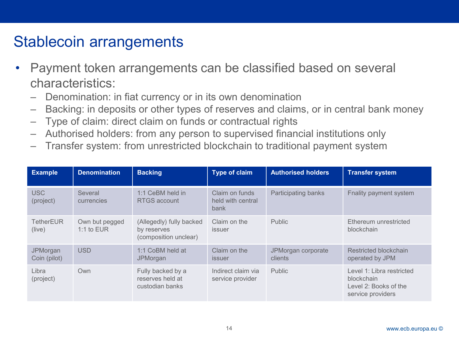### Stablecoin arrangements

- Payment token arrangements can be classified based on several characteristics:
	- Denomination: in fiat currency or in its own denomination
	- Backing: in deposits or other types of reserves and claims, or in central bank money
	- Type of claim: direct claim on funds or contractual rights
	- Authorised holders: from any person to supervised financial institutions only
	- Transfer system: from unrestricted blockchain to traditional payment system

| <b>Example</b>                  | <b>Denomination</b>            | <b>Backing</b>                                                   | <b>Type of claim</b>                        | <b>Authorised holders</b>     | <b>Transfer system</b>                                                                |
|---------------------------------|--------------------------------|------------------------------------------------------------------|---------------------------------------------|-------------------------------|---------------------------------------------------------------------------------------|
| <b>USC</b><br>(project)         | Several<br>currencies          | 1:1 CeBM held in<br>RTGS account                                 | Claim on funds<br>held with central<br>bank | Participating banks           | Fnality payment system                                                                |
| <b>TetherEUR</b><br>(live)      | Own but pegged<br>1:1 to $EUR$ | (Allegedly) fully backed<br>by reserves<br>(composition unclear) | Claim on the<br>issuer                      | Public                        | Ethereum unrestricted<br>blockchain                                                   |
| <b>JPMorgan</b><br>Coin (pilot) | <b>USD</b>                     | 1:1 CoBM held at<br><b>JPMorgan</b>                              | Claim on the<br><i>issuer</i>               | JPMorgan corporate<br>clients | Restricted blockchain<br>operated by JPM                                              |
| Libra<br>(project)              | Own                            | Fully backed by a<br>reserves held at<br>custodian banks         | Indirect claim via<br>service provider      | Public                        | Level 1: Libra restricted<br>blockchain<br>Level 2: Books of the<br>service providers |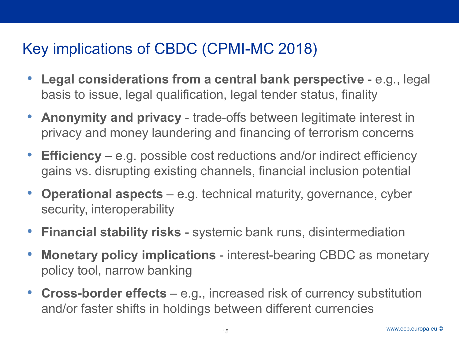# Key implications of CBDC (CPMI-MC 2018)

- **Legal considerations from a central bank perspective** e.g., legal basis to issue, legal qualification, legal tender status, finality
- **Anonymity and privacy** trade-offs between legitimate interest in privacy and money laundering and financing of terrorism concerns
- **Efficiency** e.g. possible cost reductions and/or indirect efficiency gains vs. disrupting existing channels, financial inclusion potential
- **Operational aspects** e.g. technical maturity, governance, cyber security, interoperability
- **Financial stability risks**  systemic bank runs, disintermediation
- **Monetary policy implications**  interest-bearing CBDC as monetary policy tool, narrow banking
- **Cross-border effects** e.g., increased risk of currency substitution and/or faster shifts in holdings between different currencies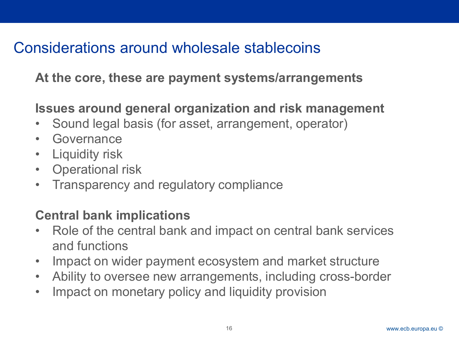# Considerations around wholesale stablecoins

**At the core, these are payment systems/arrangements**

### **Issues around general organization and risk management**

- Sound legal basis (for asset, arrangement, operator)
- Governance
- Liquidity risk
- Operational risk
- Transparency and regulatory compliance

### **Central bank implications**

- Role of the central bank and impact on central bank services and functions
- Impact on wider payment ecosystem and market structure
- Ability to oversee new arrangements, including cross-border
- Impact on monetary policy and liquidity provision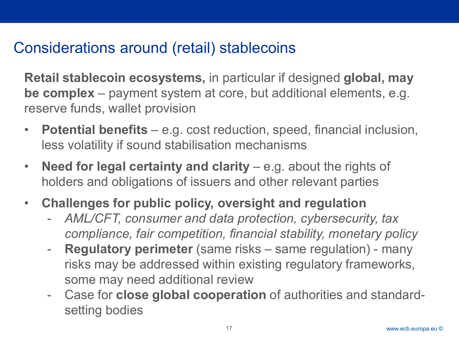# Considerations around (retail) stablecoins

**Retail stablecoin ecosystems,** in particular if designed **global, may be complex** – payment system at core, but additional elements, e.g. reserve funds, wallet provision

- **Potential benefits**  e.g. cost reduction, speed, financial inclusion, less volatility if sound stabilisation mechanisms
- **Need for legal certainty and clarity**  e.g. about the rights of holders and obligations of issuers and other relevant parties
- **Challenges for public policy, oversight and regulation** 
	- *AML/CFT, consumer and data protection, cybersecurity, tax compliance, fair competition, financial stability, monetary policy*
	- **Regulatory perimeter** (same risks same regulation) many risks may be addressed within existing regulatory frameworks, some may need additional review
	- Case for **close global cooperation** of authorities and standardsetting bodies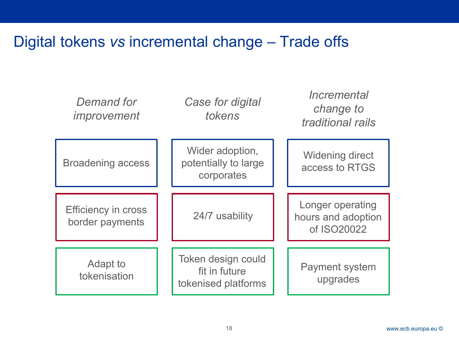### Digital tokens *vs* incremental change – Trade offs

| Demand for<br>improvement                     | Case for digital<br>tokens                                 | Incremental<br>change to<br>traditional rails         |
|-----------------------------------------------|------------------------------------------------------------|-------------------------------------------------------|
| <b>Broadening access</b>                      | Wider adoption,<br>potentially to large<br>corporates      | <b>Widening direct</b><br>access to RTGS              |
| <b>Efficiency in cross</b><br>border payments | 24/7 usability                                             | Longer operating<br>hours and adoption<br>of ISO20022 |
| Adapt to<br>tokenisation                      | Token design could<br>fit in future<br>tokenised platforms | <b>Payment system</b><br>upgrades                     |